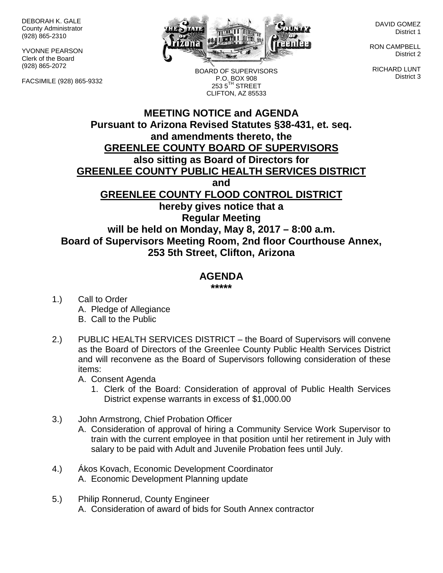DEBORAH K. GALE County Administrator (928) 865-2310

YVONNE PEARSON Clerk of the Board (928) 865-2072

FACSIMILE (928) 865-9332



DAVID GOMEZ District 1

RON CAMPBELL District 2

RICHARD LUNT District 3

BOARD OF SUPERVISORS P.O. BOX 908  $2535^{\text{TH}}$  STREET CLIFTON, AZ 85533

## **MEETING NOTICE and AGENDA Pursuant to Arizona Revised Statutes §38-431, et. seq. and amendments thereto, the GREENLEE COUNTY BOARD OF SUPERVISORS also sitting as Board of Directors for GREENLEE COUNTY PUBLIC HEALTH SERVICES DISTRICT and GREENLEE COUNTY FLOOD CONTROL DISTRICT hereby gives notice that a Regular Meeting will be held on Monday, May 8, 2017 – 8:00 a.m. Board of Supervisors Meeting Room, 2nd floor Courthouse Annex, 253 5th Street, Clifton, Arizona**

## **AGENDA**

**\*\*\*\*\***

- 1.) Call to Order A. Pledge of Allegiance B. Call to the Public
- 2.) PUBLIC HEALTH SERVICES DISTRICT the Board of Supervisors will convene as the Board of Directors of the Greenlee County Public Health Services District and will reconvene as the Board of Supervisors following consideration of these items:

A. Consent Agenda

- 1. Clerk of the Board: Consideration of approval of Public Health Services District expense warrants in excess of \$1,000.00
- 3.) John Armstrong, Chief Probation Officer
	- A. Consideration of approval of hiring a Community Service Work Supervisor to train with the current employee in that position until her retirement in July with salary to be paid with Adult and Juvenile Probation fees until July.
- 4.) Ákos Kovach, Economic Development Coordinator A. Economic Development Planning update
- 5.) Philip Ronnerud, County Engineer A. Consideration of award of bids for South Annex contractor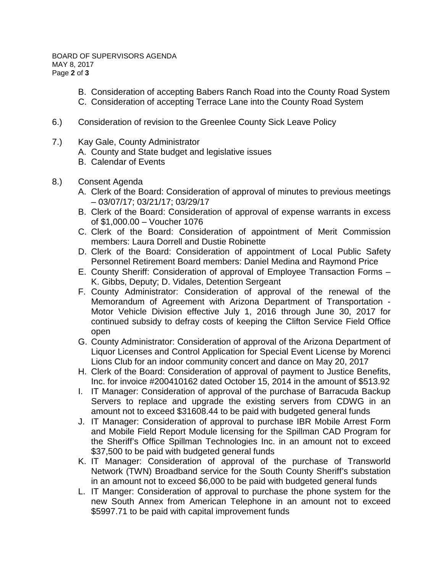- B. Consideration of accepting Babers Ranch Road into the County Road System
- C. Consideration of accepting Terrace Lane into the County Road System
- 6.) Consideration of revision to the Greenlee County Sick Leave Policy
- 7.) Kay Gale, County Administrator
	- A. County and State budget and legislative issues
	- B. Calendar of Events
- 8.) Consent Agenda
	- A. Clerk of the Board: Consideration of approval of minutes to previous meetings – 03/07/17; 03/21/17; 03/29/17
	- B. Clerk of the Board: Consideration of approval of expense warrants in excess of \$1,000.00 – Voucher 1076
	- C. Clerk of the Board: Consideration of appointment of Merit Commission members: Laura Dorrell and Dustie Robinette
	- D. Clerk of the Board: Consideration of appointment of Local Public Safety Personnel Retirement Board members: Daniel Medina and Raymond Price
	- E. County Sheriff: Consideration of approval of Employee Transaction Forms K. Gibbs, Deputy; D. Vidales, Detention Sergeant
	- F. County Administrator: Consideration of approval of the renewal of the Memorandum of Agreement with Arizona Department of Transportation - Motor Vehicle Division effective July 1, 2016 through June 30, 2017 for continued subsidy to defray costs of keeping the Clifton Service Field Office open
	- G. County Administrator: Consideration of approval of the Arizona Department of Liquor Licenses and Control Application for Special Event License by Morenci Lions Club for an indoor community concert and dance on May 20, 2017
	- H. Clerk of the Board: Consideration of approval of payment to Justice Benefits, Inc. for invoice #200410162 dated October 15, 2014 in the amount of \$513.92
	- I. IT Manager: Consideration of approval of the purchase of Barracuda Backup Servers to replace and upgrade the existing servers from CDWG in an amount not to exceed \$31608.44 to be paid with budgeted general funds
	- J. IT Manager: Consideration of approval to purchase IBR Mobile Arrest Form and Mobile Field Report Module licensing for the Spillman CAD Program for the Sheriff's Office Spillman Technologies Inc. in an amount not to exceed \$37,500 to be paid with budgeted general funds
	- K. IT Manager: Consideration of approval of the purchase of Transworld Network (TWN) Broadband service for the South County Sheriff's substation in an amount not to exceed \$6,000 to be paid with budgeted general funds
	- L. IT Manger: Consideration of approval to purchase the phone system for the new South Annex from American Telephone in an amount not to exceed \$5997.71 to be paid with capital improvement funds